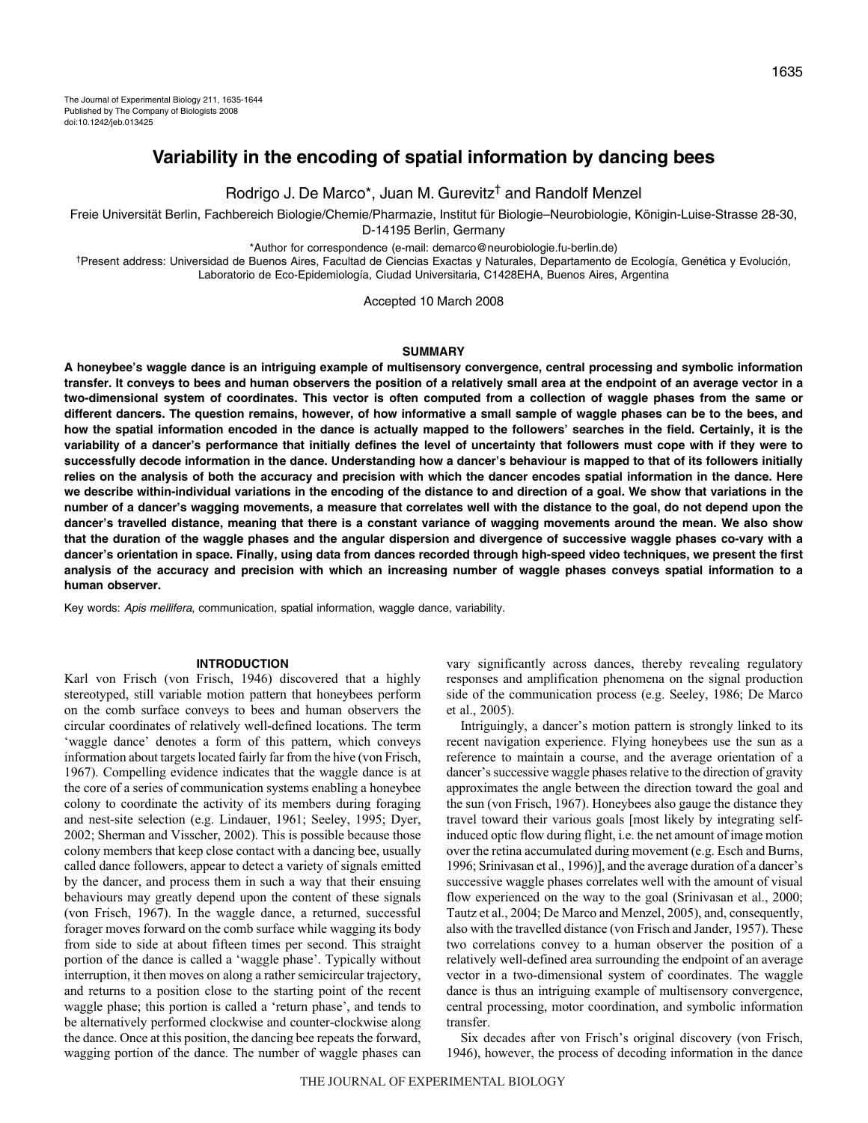# **Variability in the encoding of spatial information by dancing bees**

Rodrigo J. De Marco\*, Juan M. Gurevitz† and Randolf Menzel

Freie Universität Berlin, Fachbereich Biologie/Chemie/Pharmazie, Institut für Biologie–Neurobiologie, Königin-Luise-Strasse 28-30, D-14195 Berlin, Germany

\*Author for correspondence (e-mail: demarco@neurobiologie.fu-berlin.de)

†Present address: Universidad de Buenos Aires, Facultad de Ciencias Exactas y Naturales, Departamento de Ecología, Genética y Evolución, Laboratorio de Eco-Epidemiología, Ciudad Universitaria, C1428EHA, Buenos Aires, Argentina

Accepted 10 March 2008

# **SUMMARY**

**A honeybee's waggle dance is an intriguing example of multisensory convergence, central processing and symbolic information transfer. It conveys to bees and human observers the position of a relatively small area at the endpoint of an average vector in a two-dimensional system of coordinates. This vector is often computed from a collection of waggle phases from the same or different dancers. The question remains, however, of how informative a small sample of waggle phases can be to the bees, and how the spatial information encoded in the dance is actually mapped to the followers' searches in the field. Certainly, it is the variability of a dancer's performance that initially defines the level of uncertainty that followers must cope with if they were to successfully decode information in the dance. Understanding how a dancer's behaviour is mapped to that of its followers initially relies on the analysis of both the accuracy and precision with which the dancer encodes spatial information in the dance. Here we describe within-individual variations in the encoding of the distance to and direction of a goal. We show that variations in the number of a dancer's wagging movements, a measure that correlates well with the distance to the goal, do not depend upon the dancer's travelled distance, meaning that there is a constant variance of wagging movements around the mean. We also show that the duration of the waggle phases and the angular dispersion and divergence of successive waggle phases co-vary with a dancer's orientation in space. Finally, using data from dances recorded through high-speed video techniques, we present the first analysis of the accuracy and precision with which an increasing number of waggle phases conveys spatial information to a human observer.**

Key words: Apis mellifera, communication, spatial information, waggle dance, variability.

#### **INTRODUCTION**

Karl von Frisch (von Frisch, 1946) discovered that a highly stereotyped, still variable motion pattern that honeybees perform on the comb surface conveys to bees and human observers the circular coordinates of relatively well-defined locations. The term 'waggle dance' denotes a form of this pattern, which conveys information about targets located fairly far from the hive (von Frisch, 1967). Compelling evidence indicates that the waggle dance is at the core of a series of communication systems enabling a honeybee colony to coordinate the activity of its members during foraging and nest-site selection (e.g. Lindauer, 1961; Seeley, 1995; Dyer, 2002; Sherman and Visscher, 2002). This is possible because those colony members that keep close contact with a dancing bee, usually called dance followers, appear to detect a variety of signals emitted by the dancer, and process them in such a way that their ensuing behaviours may greatly depend upon the content of these signals (von Frisch, 1967). In the waggle dance, a returned, successful forager moves forward on the comb surface while wagging its body from side to side at about fifteen times per second. This straight portion of the dance is called a 'waggle phase'. Typically without interruption, it then moves on along a rather semicircular trajectory, and returns to a position close to the starting point of the recent waggle phase; this portion is called a 'return phase', and tends to be alternatively performed clockwise and counter-clockwise along the dance. Once at this position, the dancing bee repeats the forward, wagging portion of the dance. The number of waggle phases can vary significantly across dances, thereby revealing regulatory responses and amplification phenomena on the signal production side of the communication process (e.g. Seeley, 1986; De Marco et al., 2005).

Intriguingly, a dancer's motion pattern is strongly linked to its recent navigation experience. Flying honeybees use the sun as a reference to maintain a course, and the average orientation of a dancer's successive waggle phases relative to the direction of gravity approximates the angle between the direction toward the goal and the sun (von Frisch, 1967). Honeybees also gauge the distance they travel toward their various goals [most likely by integrating selfinduced optic flow during flight, i.e. the net amount of image motion over the retina accumulated during movement (e.g. Esch and Burns, 1996; Srinivasan et al., 1996)], and the average duration of a dancer's successive waggle phases correlates well with the amount of visual flow experienced on the way to the goal (Srinivasan et al., 2000; Tautz et al., 2004; De Marco and Menzel, 2005), and, consequently, also with the travelled distance (von Frisch and Jander, 1957). These two correlations convey to a human observer the position of a relatively well-defined area surrounding the endpoint of an average vector in a two-dimensional system of coordinates. The waggle dance is thus an intriguing example of multisensory convergence, central processing, motor coordination, and symbolic information transfer.

Six decades after von Frisch's original discovery (von Frisch, 1946), however, the process of decoding information in the dance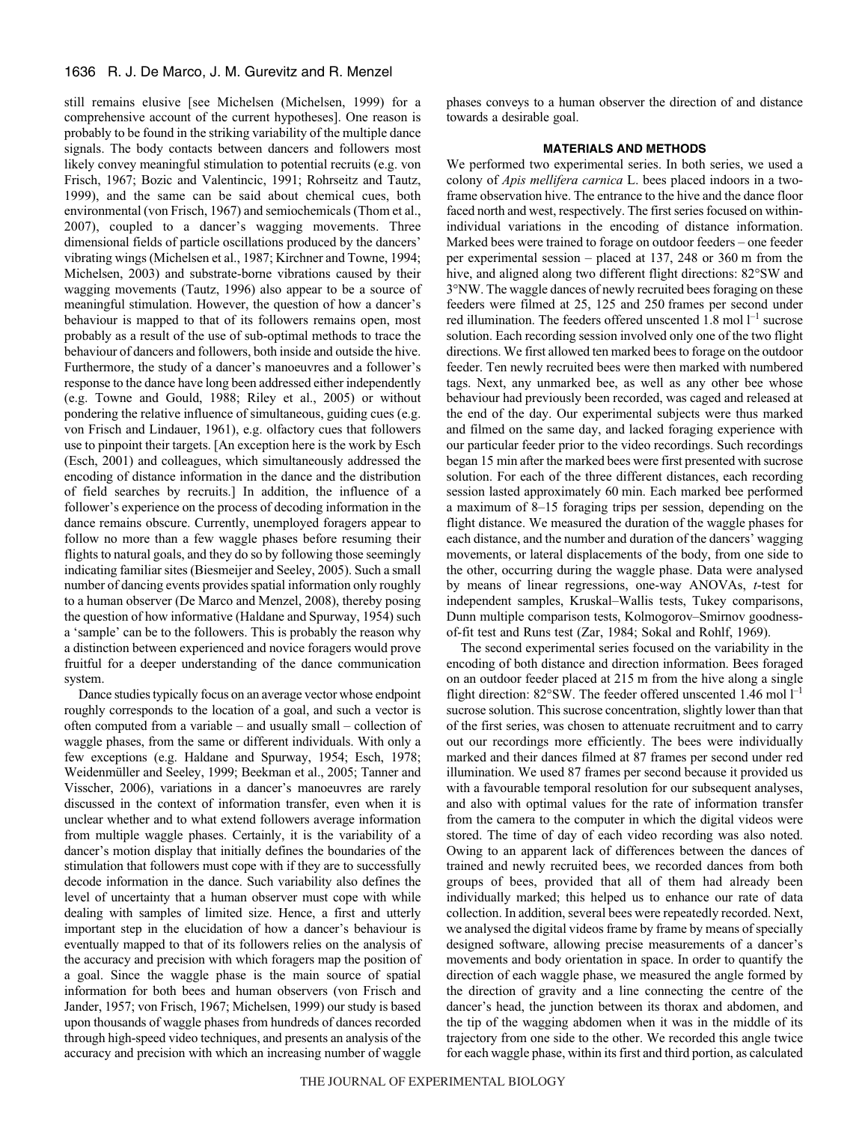still remains elusive [see Michelsen (Michelsen, 1999) for a comprehensive account of the current hypotheses]. One reason is probably to be found in the striking variability of the multiple dance signals. The body contacts between dancers and followers most likely convey meaningful stimulation to potential recruits (e.g. von Frisch, 1967; Bozic and Valentincic, 1991; Rohrseitz and Tautz, 1999), and the same can be said about chemical cues, both environmental (von Frisch, 1967) and semiochemicals (Thom et al., 2007), coupled to a dancer's wagging movements. Three dimensional fields of particle oscillations produced by the dancers' vibrating wings (Michelsen et al., 1987; Kirchner and Towne, 1994; Michelsen, 2003) and substrate-borne vibrations caused by their wagging movements (Tautz, 1996) also appear to be a source of meaningful stimulation. However, the question of how a dancer's behaviour is mapped to that of its followers remains open, most probably as a result of the use of sub-optimal methods to trace the behaviour of dancers and followers, both inside and outside the hive. Furthermore, the study of a dancer's manoeuvres and a follower's response to the dance have long been addressed either independently (e.g. Towne and Gould, 1988; Riley et al., 2005) or without pondering the relative influence of simultaneous, guiding cues (e.g. von Frisch and Lindauer, 1961), e.g. olfactory cues that followers use to pinpoint their targets. [An exception here is the work by Esch (Esch, 2001) and colleagues, which simultaneously addressed the encoding of distance information in the dance and the distribution of field searches by recruits.] In addition, the influence of a follower's experience on the process of decoding information in the dance remains obscure. Currently, unemployed foragers appear to follow no more than a few waggle phases before resuming their flights to natural goals, and they do so by following those seemingly indicating familiar sites (Biesmeijer and Seeley, 2005). Such a small number of dancing events provides spatial information only roughly to a human observer (De Marco and Menzel, 2008), thereby posing the question of how informative (Haldane and Spurway, 1954) such a 'sample' can be to the followers. This is probably the reason why a distinction between experienced and novice foragers would prove fruitful for a deeper understanding of the dance communication system.

Dance studies typically focus on an average vector whose endpoint roughly corresponds to the location of a goal, and such a vector is often computed from a variable – and usually small – collection of waggle phases, from the same or different individuals. With only a few exceptions (e.g. Haldane and Spurway, 1954; Esch, 1978; Weidenmüller and Seeley, 1999; Beekman et al., 2005; Tanner and Visscher, 2006), variations in a dancer's manoeuvres are rarely discussed in the context of information transfer, even when it is unclear whether and to what extend followers average information from multiple waggle phases. Certainly, it is the variability of a dancer's motion display that initially defines the boundaries of the stimulation that followers must cope with if they are to successfully decode information in the dance. Such variability also defines the level of uncertainty that a human observer must cope with while dealing with samples of limited size. Hence, a first and utterly important step in the elucidation of how a dancer's behaviour is eventually mapped to that of its followers relies on the analysis of the accuracy and precision with which foragers map the position of a goal. Since the waggle phase is the main source of spatial information for both bees and human observers (von Frisch and Jander, 1957; von Frisch, 1967; Michelsen, 1999) our study is based upon thousands of waggle phases from hundreds of dances recorded through high-speed video techniques, and presents an analysis of the accuracy and precision with which an increasing number of waggle

phases conveys to a human observer the direction of and distance towards a desirable goal.

# **MATERIALS AND METHODS**

We performed two experimental series. In both series, we used a colony of *Apis mellifera carnica* L. bees placed indoors in a twoframe observation hive. The entrance to the hive and the dance floor faced north and west, respectively. The first series focused on withinindividual variations in the encoding of distance information. Marked bees were trained to forage on outdoor feeders – one feeder per experimental session – placed at  $137$ ,  $248$  or  $360 \text{ m}$  from the hive, and aligned along two different flight directions: 82°SW and 3°NW. The waggle dances of newly recruited bees foraging on these feeders were filmed at 25, 125 and 250 frames per second under red illumination. The feeders offered unscented 1.8 mol  $l^{-1}$  sucrose solution. Each recording session involved only one of the two flight directions. We first allowed ten marked bees to forage on the outdoor feeder. Ten newly recruited bees were then marked with numbered tags. Next, any unmarked bee, as well as any other bee whose behaviour had previously been recorded, was caged and released at the end of the day. Our experimental subjects were thus marked and filmed on the same day, and lacked foraging experience with our particular feeder prior to the video recordings. Such recordings began 15 min after the marked bees were first presented with sucrose solution. For each of the three different distances, each recording session lasted approximately 60 min. Each marked bee performed a maximum of 8–15 foraging trips per session, depending on the flight distance. We measured the duration of the waggle phases for each distance, and the number and duration of the dancers' wagging movements, or lateral displacements of the body, from one side to the other, occurring during the waggle phase. Data were analysed by means of linear regressions, one-way ANOVAs, *t*-test for independent samples, Kruskal–Wallis tests, Tukey comparisons, Dunn multiple comparison tests, Kolmogorov–Smirnov goodnessof-fit test and Runs test (Zar, 1984; Sokal and Rohlf, 1969).

The second experimental series focused on the variability in the encoding of both distance and direction information. Bees foraged on an outdoor feeder placed at 215 m from the hive along a single flight direction:  $82^{\circ}$ SW. The feeder offered unscented 1.46 mol  $1^{-1}$ sucrose solution. This sucrose concentration, slightly lower than that of the first series, was chosen to attenuate recruitment and to carry out our recordings more efficiently. The bees were individually marked and their dances filmed at 87 frames per second under red illumination. We used 87 frames per second because it provided us with a favourable temporal resolution for our subsequent analyses, and also with optimal values for the rate of information transfer from the camera to the computer in which the digital videos were stored. The time of day of each video recording was also noted. Owing to an apparent lack of differences between the dances of trained and newly recruited bees, we recorded dances from both groups of bees, provided that all of them had already been individually marked; this helped us to enhance our rate of data collection. In addition, several bees were repeatedly recorded. Next, we analysed the digital videos frame by frame by means of specially designed software, allowing precise measurements of a dancer's movements and body orientation in space. In order to quantify the direction of each waggle phase, we measured the angle formed by the direction of gravity and a line connecting the centre of the dancer's head, the junction between its thorax and abdomen, and the tip of the wagging abdomen when it was in the middle of its trajectory from one side to the other. We recorded this angle twice for each waggle phase, within its first and third portion, as calculated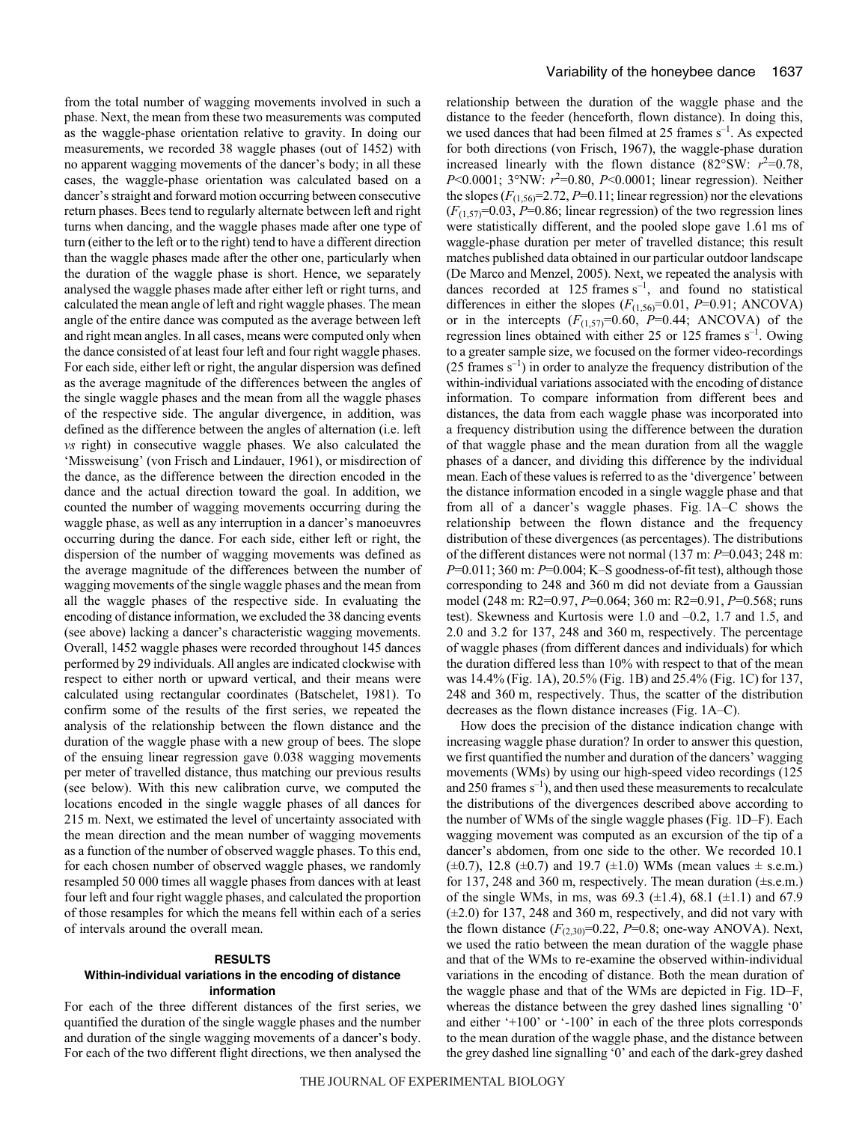from the total number of wagging movements involved in such a phase. Next, the mean from these two measurements was computed as the waggle-phase orientation relative to gravity. In doing our measurements, we recorded 38 waggle phases (out of 1452) with no apparent wagging movements of the dancer's body; in all these cases, the waggle-phase orientation was calculated based on a dancer's straight and forward motion occurring between consecutive return phases. Bees tend to regularly alternate between left and right turns when dancing, and the waggle phases made after one type of turn (either to the left or to the right) tend to have a different direction than the waggle phases made after the other one, particularly when the duration of the waggle phase is short. Hence, we separately analysed the waggle phases made after either left or right turns, and calculated the mean angle of left and right waggle phases. The mean angle of the entire dance was computed as the average between left and right mean angles. In all cases, means were computed only when the dance consisted of at least four left and four right waggle phases. For each side, either left or right, the angular dispersion was defined as the average magnitude of the differences between the angles of the single waggle phases and the mean from all the waggle phases of the respective side. The angular divergence, in addition, was defined as the difference between the angles of alternation (i.e. left *vs* right) in consecutive waggle phases. We also calculated the 'Missweisung' (von Frisch and Lindauer, 1961), or misdirection of the dance, as the difference between the direction encoded in the dance and the actual direction toward the goal. In addition, we counted the number of wagging movements occurring during the waggle phase, as well as any interruption in a dancer's manoeuvres occurring during the dance. For each side, either left or right, the dispersion of the number of wagging movements was defined as the average magnitude of the differences between the number of wagging movements of the single waggle phases and the mean from all the waggle phases of the respective side. In evaluating the encoding of distance information, we excluded the 38 dancing events (see above) lacking a dancer's characteristic wagging movements. Overall, 1452 waggle phases were recorded throughout 145 dances performed by 29 individuals. All angles are indicated clockwise with respect to either north or upward vertical, and their means were calculated using rectangular coordinates (Batschelet, 1981). To confirm some of the results of the first series, we repeated the analysis of the relationship between the flown distance and the duration of the waggle phase with a new group of bees. The slope of the ensuing linear regression gave 0.038 wagging movements per meter of travelled distance, thus matching our previous results (see below). With this new calibration curve, we computed the locations encoded in the single waggle phases of all dances for 215 m. Next, we estimated the level of uncertainty associated with the mean direction and the mean number of wagging movements as a function of the number of observed waggle phases. To this end, for each chosen number of observed waggle phases, we randomly resampled 50 000 times all waggle phases from dances with at least four left and four right waggle phases, and calculated the proportion of those resamples for which the means fell within each of a series of intervals around the overall mean.

# **RESULTS Within-individual variations in the encoding of distance information**

For each of the three different distances of the first series, we quantified the duration of the single waggle phases and the number and duration of the single wagging movements of a dancer's body. For each of the two different flight directions, we then analysed the relationship between the duration of the waggle phase and the distance to the feeder (henceforth, flown distance). In doing this, we used dances that had been filmed at 25 frames  $s^{-1}$ . As expected for both directions (von Frisch, 1967), the waggle-phase duration increased linearly with the flown distance  $(82^{\circ}SW: r^2=0.78,$ *P*<0.0001; 3°NW:  $r^2$ =0.80, *P*<0.0001; linear regression). Neither the slopes  $(F_{(1,56)}=2.72, P=0.11;$  linear regression) nor the elevations  $(F_{(1,57)}=0.03, P=0.86;$  linear regression) of the two regression lines were statistically different, and the pooled slope gave 1.61 ms of waggle-phase duration per meter of travelled distance; this result matches published data obtained in our particular outdoor landscape (De Marco and Menzel, 2005). Next, we repeated the analysis with dances recorded at 125 frames  $s^{-1}$ , and found no statistical differences in either the slopes  $(F_{(1,56)}=0.01, P=0.91; ANCOVA)$ or in the intercepts  $(F_{(1,57)}=0.60, P=0.44; ANCOVA)$  of the regression lines obtained with either 25 or 125 frames  $s^{-1}$ . Owing to a greater sample size, we focused on the former video-recordings (25 frames  $s^{-1}$ ) in order to analyze the frequency distribution of the within-individual variations associated with the encoding of distance information. To compare information from different bees and distances, the data from each waggle phase was incorporated into a frequency distribution using the difference between the duration of that waggle phase and the mean duration from all the waggle phases of a dancer, and dividing this difference by the individual mean. Each of these values is referred to as the 'divergence' between the distance information encoded in a single waggle phase and that from all of a dancer's waggle phases. Fig. 1A–C shows the relationship between the flown distance and the frequency distribution of these divergences (as percentages). The distributions of the different distances were not normal (137 m:  $P=0.043$ ; 248 m: *P*=0.011; 360 m: *P*=0.004; K-S goodness-of-fit test), although those corresponding to 248 and 360 m did not deviate from a Gaussian model (248 m: R2=0.97, *P*=0.064; 360 m: R2=0.91, *P*=0.568; runs test). Skewness and Kurtosis were 1.0 and –0.2, 1.7 and 1.5, and  $2.0$  and  $3.2$  for  $137$ ,  $248$  and  $360$  m, respectively. The percentage of waggle phases (from different dances and individuals) for which the duration differed less than 10% with respect to that of the mean was 14.4% (Fig. 1A), 20.5% (Fig. 1B) and 25.4% (Fig. 1C) for 137, 248 and 360 m, respectively. Thus, the scatter of the distribution decreases as the flown distance increases (Fig. 1A–C).

How does the precision of the distance indication change with increasing waggle phase duration? In order to answer this question, we first quantified the number and duration of the dancers' wagging movements (WMs) by using our high-speed video recordings (125 and 250 frames  $s^{-1}$ ), and then used these measurements to recalculate the distributions of the divergences described above according to the number of WMs of the single waggle phases (Fig. 1D–F). Each wagging movement was computed as an excursion of the tip of a dancer's abdomen, from one side to the other. We recorded 10.1  $(\pm 0.7)$ , 12.8  $(\pm 0.7)$  and 19.7  $(\pm 1.0)$  WMs (mean values  $\pm$  s.e.m.) for 137, 248 and 360 m, respectively. The mean duration  $(\pm$ s.e.m.) of the single WMs, in ms, was  $69.3$  ( $\pm$ 1.4),  $68.1$  ( $\pm$ 1.1) and  $67.9$  $(\pm 2.0)$  for 137, 248 and 360 m, respectively, and did not vary with the flown distance  $(F_{(2,30)}=0.22, P=0.8;$  one-way ANOVA). Next, we used the ratio between the mean duration of the waggle phase and that of the WMs to re-examine the observed within-individual variations in the encoding of distance. Both the mean duration of the waggle phase and that of the WMs are depicted in Fig. 1D–F, whereas the distance between the grey dashed lines signalling '0' and either '+100' or '-100' in each of the three plots corresponds to the mean duration of the waggle phase, and the distance between the grey dashed line signalling '0' and each of the dark-grey dashed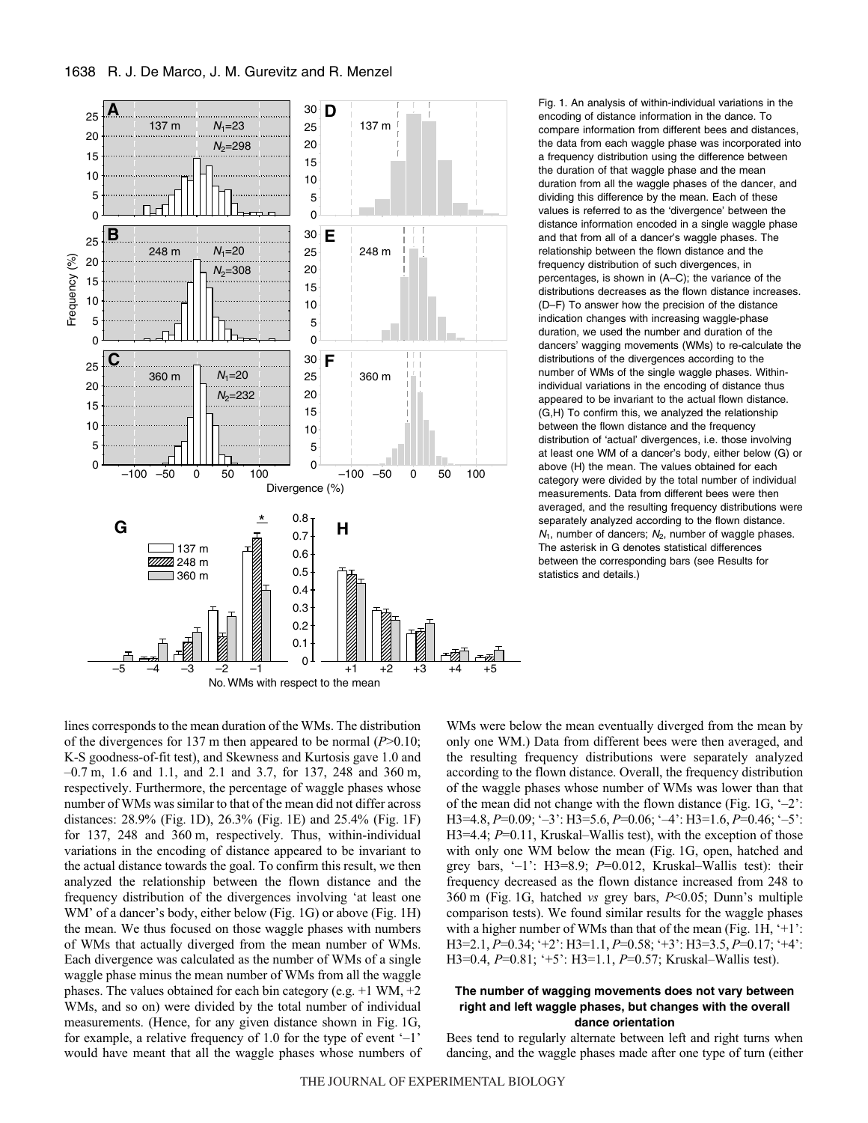

Fig. 1. An analysis of within-individual variations in the encoding of distance information in the dance. To compare information from different bees and distances, the data from each waggle phase was incorporated into a frequency distribution using the difference between the duration of that waggle phase and the mean duration from all the waggle phases of the dancer, and dividing this difference by the mean. Each of these values is referred to as the 'divergence' between the distance information encoded in a single waggle phase and that from all of a dancer's waggle phases. The relationship between the flown distance and the frequency distribution of such divergences, in percentages, is shown in (A–C); the variance of the distributions decreases as the flown distance increases. (D–F) To answer how the precision of the distance indication changes with increasing waggle-phase duration, we used the number and duration of the dancers' wagging movements (WMs) to re-calculate the distributions of the divergences according to the number of WMs of the single waggle phases. Withinindividual variations in the encoding of distance thus appeared to be invariant to the actual flown distance. (G,H) To confirm this, we analyzed the relationship between the flown distance and the frequency distribution of 'actual' divergences, i.e. those involving at least one WM of a dancer's body, either below (G) or above (H) the mean. The values obtained for each category were divided by the total number of individual measurements. Data from different bees were then averaged, and the resulting frequency distributions were separately analyzed according to the flown distance.  $N_1$ , number of dancers;  $N_2$ , number of waggle phases. The asterisk in G denotes statistical differences between the corresponding bars (see Results for statistics and details.)

lines corresponds to the mean duration of the WMs. The distribution of the divergences for 137 m then appeared to be normal  $(P>0.10)$ ; K-S goodness-of-fit test), and Skewness and Kurtosis gave 1.0 and  $-0.7$  m, 1.6 and 1.1, and 2.1 and 3.7, for 137, 248 and 360 m, respectively. Furthermore, the percentage of waggle phases whose number of WMs was similar to that of the mean did not differ across distances: 28.9% (Fig. 1D), 26.3% (Fig. 1E) and 25.4% (Fig. 1F) for 137, 248 and 360 m, respectively. Thus, within-individual variations in the encoding of distance appeared to be invariant to the actual distance towards the goal. To confirm this result, we then analyzed the relationship between the flown distance and the frequency distribution of the divergences involving 'at least one WM' of a dancer's body, either below (Fig. 1G) or above (Fig. 1H) the mean. We thus focused on those waggle phases with numbers of WMs that actually diverged from the mean number of WMs. Each divergence was calculated as the number of WMs of a single waggle phase minus the mean number of WMs from all the waggle phases. The values obtained for each bin category (e.g.  $+1$  WM,  $+2$ ) WMs, and so on) were divided by the total number of individual measurements. (Hence, for any given distance shown in Fig. 1G, for example, a relative frequency of 1.0 for the type of event '–1' would have meant that all the waggle phases whose numbers of WMs were below the mean eventually diverged from the mean by only one WM.) Data from different bees were then averaged, and the resulting frequency distributions were separately analyzed according to the flown distance. Overall, the frequency distribution of the waggle phases whose number of WMs was lower than that of the mean did not change with the flown distance (Fig.  $1G, -2$ ): H3=4.8, *P*=0.09; '–3': H3=5.6, *P*=0.06; '–4': H3=1.6, *P*=0.46; '–5': H3=4.4; *P*=0.11, Kruskal–Wallis test), with the exception of those with only one WM below the mean (Fig. 1G, open, hatched and grey bars, '–1': H3=8.9; *P*=0.012, Kruskal–Wallis test): their frequency decreased as the flown distance increased from 248 to 360 m (Fig. 1G, hatched *vs* grey bars, *P*<0.05; Dunn's multiple comparison tests). We found similar results for the waggle phases with a higher number of WMs than that of the mean (Fig.  $1H, '+1$ : H3=2.1, *P*=0.34; '+2': H3=1.1, *P*=0.58; '+3': H3=3.5, *P*=0.17; '+4': H3=0.4, *P*=0.81; '+5': H3=1.1, *P*=0.57; Kruskal–Wallis test).

# **The number of wagging movements does not vary between right and left waggle phases, but changes with the overall dance orientation**

Bees tend to regularly alternate between left and right turns when dancing, and the waggle phases made after one type of turn (either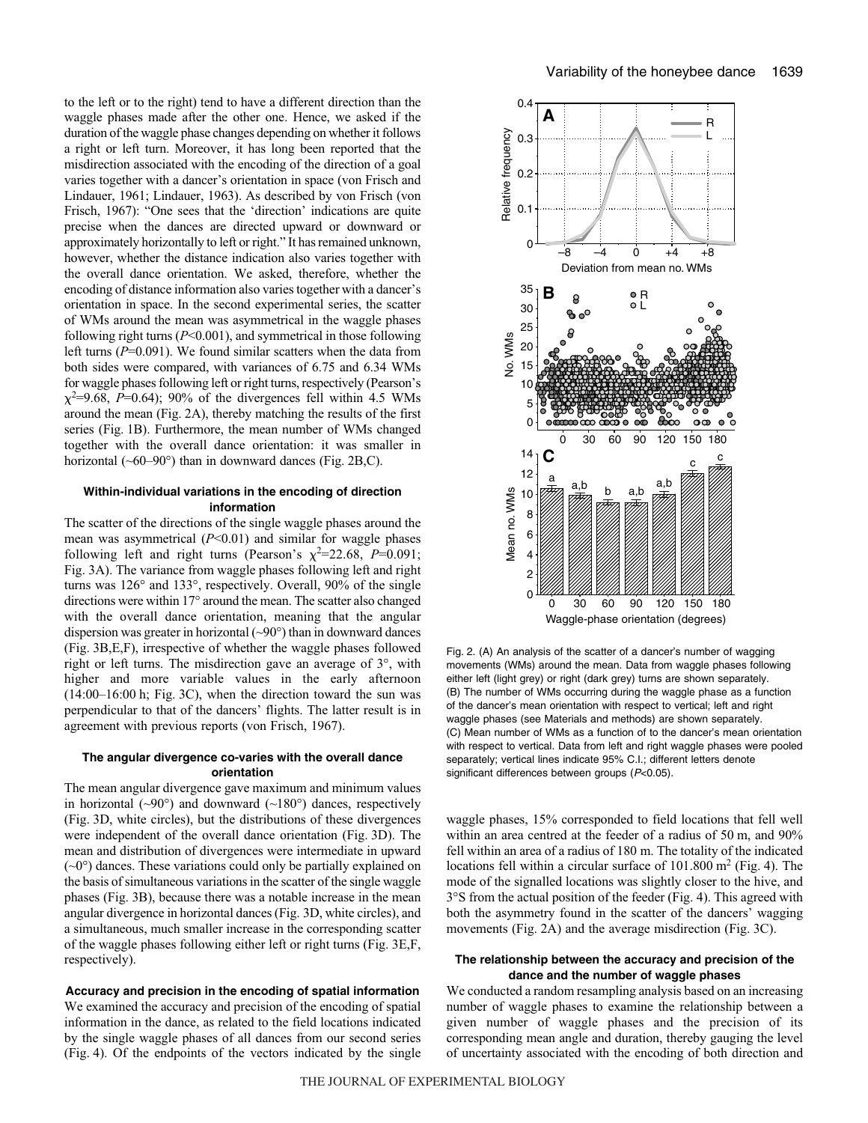to the left or to the right) tend to have a different direction than the waggle phases made after the other one. Hence, we asked if the duration of the waggle phase changes depending on whether it follows a right or left turn. Moreover, it has long been reported that the misdirection associated with the encoding of the direction of a goal varies together with a dancer's orientation in space (von Frisch and Lindauer, 1961; Lindauer, 1963). As described by von Frisch (von Frisch, 1967): "One sees that the 'direction' indications are quite precise when the dances are directed upward or downward or approximately horizontally to left or right." It has remained unknown, however, whether the distance indication also varies together with the overall dance orientation. We asked, therefore, whether the encoding of distance information also varies together with a dancer's orientation in space. In the second experimental series, the scatter of WMs around the mean was asymmetrical in the waggle phases following right turns (*P*<0.001), and symmetrical in those following left turns (*P*=0.091). We found similar scatters when the data from both sides were compared, with variances of 6.75 and 6.34 WMs for waggle phases following left or right turns, respectively (Pearson's  $\chi^2$ =9.68,  $\dot{P}$ =0.64); 90% of the divergences fell within 4.5 WMs around the mean (Fig. 2A), thereby matching the results of the first series (Fig. 1B). Furthermore, the mean number of WMs changed together with the overall dance orientation: it was smaller in horizontal  $(\sim 60-90^\circ)$  than in downward dances (Fig. 2B,C).

### **Within-individual variations in the encoding of direction information**

The scatter of the directions of the single waggle phases around the mean was asymmetrical (*P*<0.01) and similar for waggle phases following left and right turns (Pearson's  $\chi^2$ =22.68, *P*=0.091; Fig. 3A). The variance from waggle phases following left and right turns was 126° and 133°, respectively. Overall, 90% of the single directions were within 17° around the mean. The scatter also changed with the overall dance orientation, meaning that the angular dispersion was greater in horizontal  $(\sim 90^{\circ})$  than in downward dances (Fig. 3B, E, F), irrespective of whether the waggle phases followed right or left turns. The misdirection gave an average of 3°, with higher and more variable values in the early afternoon  $(14:00-16:00h; Fig. 3C)$ , when the direction toward the sun was perpendicular to that of the dancers' flights. The latter result is in agreement with previous reports (von Frisch, 1967).

# **The angular divergence co-varies with the overall dance orientation**

The mean angular divergence gave maximum and minimum values in horizontal ( $\sim 90^\circ$ ) and downward ( $\sim 180^\circ$ ) dances, respectively (Fig. 3D, white circles), but the distributions of these divergences were independent of the overall dance orientation (Fig. 3D). The mean and distribution of divergences were intermediate in upward  $(\sim 0^{\circ})$  dances. These variations could only be partially explained on the basis of simultaneous variations in the scatter of the single waggle phases (Fig. 3B), because there was a notable increase in the mean angular divergence in horizontal dances (Fig. 3D, white circles), and a simultaneous, much smaller increase in the corresponding scatter of the waggle phases following either left or right turns (Fig. 3E,F, respectively).

**Accuracy and precision in the encoding of spatial information** We examined the accuracy and precision of the encoding of spatial information in the dance, as related to the field locations indicated by the single waggle phases of all dances from our second series (Fig. 4). Of the endpoints of the vectors indicated by the single



Fig. 2. (A) An analysis of the scatter of a dancer's number of wagging movements (WMs) around the mean. Data from waggle phases following either left (light grey) or right (dark grey) turns are shown separately. (B) The number of WMs occurring during the waggle phase as a function of the dancer's mean orientation with respect to vertical; left and right waggle phases (see Materials and methods) are shown separately. (C) Mean number of WMs as a function of to the dancer's mean orientation with respect to vertical. Data from left and right waggle phases were pooled separately; vertical lines indicate 95% C.I.; different letters denote significant differences between groups (P<0.05).

waggle phases, 15% corresponded to field locations that fell well within an area centred at the feeder of a radius of  $50 \text{ m}$ , and  $90\%$ fell within an area of a radius of 180 m. The totality of the indicated locations fell within a circular surface of  $101.800 \text{ m}^2$  (Fig. 4). The mode of the signalled locations was slightly closer to the hive, and  $3^{\circ}$ S from the actual position of the feeder (Fig. 4). This agreed with both the asymmetry found in the scatter of the dancers' wagging movements (Fig. 2A) and the average misdirection (Fig. 3C).

#### **The relationship between the accuracy and precision of the dance and the number of waggle phases**

We conducted a random resampling analysis based on an increasing number of waggle phases to examine the relationship between a given number of waggle phases and the precision of its corresponding mean angle and duration, thereby gauging the level of uncertainty associated with the encoding of both direction and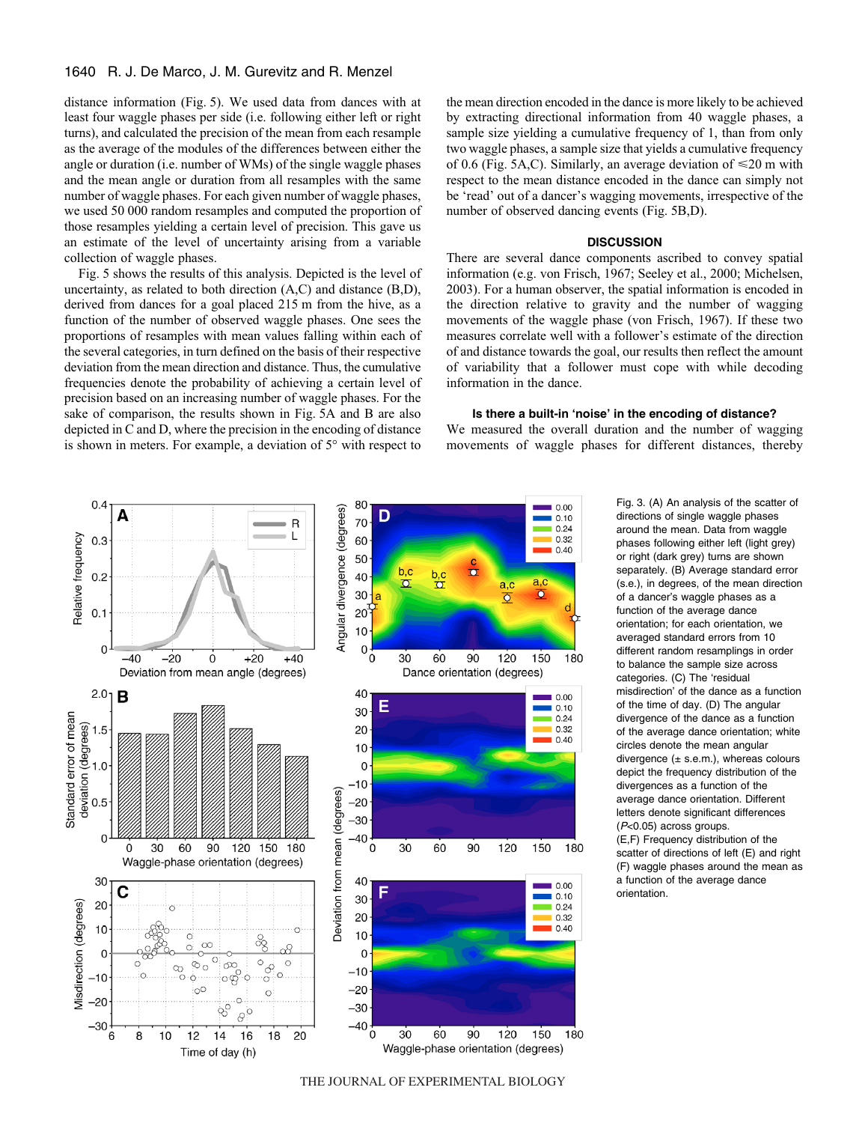distance information (Fig. 5). We used data from dances with at least four waggle phases per side (i.e. following either left or right turns), and calculated the precision of the mean from each resample as the average of the modules of the differences between either the angle or duration (i.e. number of WMs) of the single waggle phases and the mean angle or duration from all resamples with the same number of waggle phases. For each given number of waggle phases, we used 50 000 random resamples and computed the proportion of those resamples yielding a certain level of precision. This gave us an estimate of the level of uncertainty arising from a variable collection of waggle phases.

Fig. 5 shows the results of this analysis. Depicted is the level of uncertainty, as related to both direction (A,C) and distance (B,D), derived from dances for a goal placed 215 m from the hive, as a function of the number of observed waggle phases. One sees the proportions of resamples with mean values falling within each of the several categories, in turn defined on the basis of their respective deviation from the mean direction and distance. Thus, the cumulative frequencies denote the probability of achieving a certain level of precision based on an increasing number of waggle phases. For the sake of comparison, the results shown in Fig. 5A and B are also depicted in C and D, where the precision in the encoding of distance is shown in meters. For example, a deviation of 5° with respect to

the mean direction encoded in the dance is more likely to be achieved by extracting directional information from 40 waggle phases, a sample size yielding a cumulative frequency of 1, than from only two waggle phases, a sample size that yields a cumulative frequency of 0.6 (Fig. 5A,C). Similarly, an average deviation of  $\leq 20$  m with respect to the mean distance encoded in the dance can simply not be 'read' out of a dancer's wagging movements, irrespective of the number of observed dancing events (Fig. 5B,D).

#### **DISCUSSION**

There are several dance components ascribed to convey spatial information (e.g. von Frisch, 1967; Seeley et al., 2000; Michelsen, 2003). For a human observer, the spatial information is encoded in the direction relative to gravity and the number of wagging movements of the waggle phase (von Frisch, 1967). If these two measures correlate well with a follower's estimate of the direction of and distance towards the goal, our results then reflect the amount of variability that a follower must cope with while decoding information in the dance.

# **Is there a built-in 'noise' in the encoding of distance?**

We measured the overall duration and the number of wagging movements of waggle phases for different distances, thereby



Fig. 3. (A) An analysis of the scatter of directions of single waggle phases around the mean. Data from waggle phases following either left (light grey) or right (dark grey) turns are shown separately. (B) Average standard error (s.e.), in degrees, of the mean direction of a dancer's waggle phases as a function of the average dance orientation; for each orientation, we averaged standard errors from 10 different random resamplings in order to balance the sample size across categories. (C) The 'residual misdirection' of the dance as a function of the time of day. (D) The angular divergence of the dance as a function of the average dance orientation; white circles denote the mean angular divergence  $(± s.e.m.),$  whereas colours depict the frequency distribution of the divergences as a function of the average dance orientation. Different letters denote significant differences (P<0.05) across groups. (E,F) Frequency distribution of the scatter of directions of left (E) and right (F) waggle phases around the mean as a function of the average dance orientation.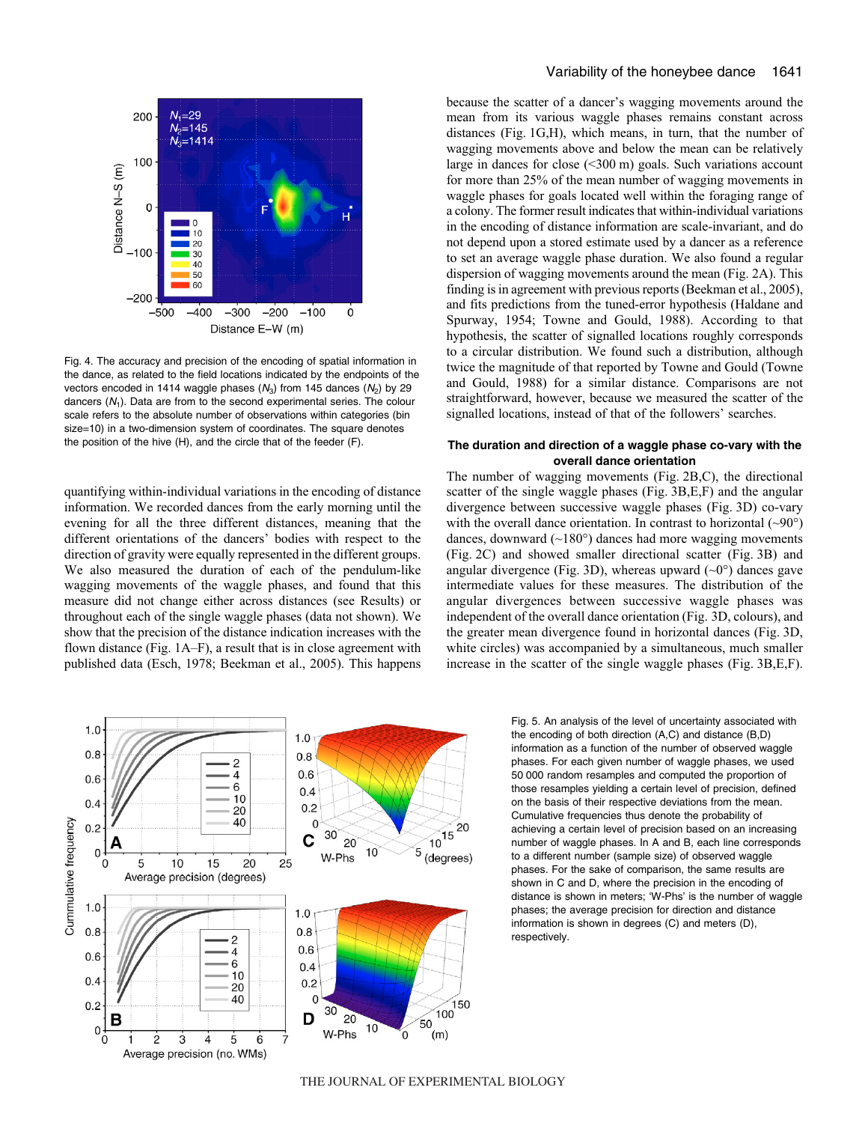

Fig. 4. The accuracy and precision of the encoding of spatial information in the dance, as related to the field locations indicated by the endpoints of the vectors encoded in 1414 waggle phases  $(N_3)$  from 145 dances  $(N_2)$  by 29 dancers  $(N_1)$ . Data are from to the second experimental series. The colour scale refers to the absolute number of observations within categories (bin size=10) in a two-dimension system of coordinates. The square denotes the position of the hive (H), and the circle that of the feeder (F).

quantifying within-individual variations in the encoding of distance information. We recorded dances from the early morning until the evening for all the three different distances, meaning that the different orientations of the dancers' bodies with respect to the direction of gravity were equally represented in the different groups. We also measured the duration of each of the pendulum-like wagging movements of the waggle phases, and found that this measure did not change either across distances (see Results) or throughout each of the single waggle phases (data not shown). We show that the precision of the distance indication increases with the flown distance (Fig.  $1A-F$ ), a result that is in close agreement with published data (Esch, 1978; Beekman et al., 2005). This happens because the scatter of a dancer's wagging movements around the mean from its various waggle phases remains constant across distances (Fig.  $1G,H$ ), which means, in turn, that the number of wagging movements above and below the mean can be relatively large in dances for close  $(\leq 300 \text{ m})$  goals. Such variations account for more than 25% of the mean number of wagging movements in waggle phases for goals located well within the foraging range of a colony. The former result indicates that within-individual variations in the encoding of distance information are scale-invariant, and do not depend upon a stored estimate used by a dancer as a reference to set an average waggle phase duration. We also found a regular dispersion of wagging movements around the mean (Fig. 2A). This finding is in agreement with previous reports (Beekman et al., 2005), and fits predictions from the tuned-error hypothesis (Haldane and Spurway, 1954; Towne and Gould, 1988). According to that hypothesis, the scatter of signalled locations roughly corresponds to a circular distribution. We found such a distribution, although twice the magnitude of that reported by Towne and Gould (Towne and Gould, 1988) for a similar distance. Comparisons are not straightforward, however, because we measured the scatter of the signalled locations, instead of that of the followers' searches.

### **The duration and direction of a waggle phase co-vary with the overall dance orientation**

The number of wagging movements (Fig.  $2B$ ,C), the directional scatter of the single waggle phases (Fig. 3B,E,F) and the angular divergence between successive waggle phases (Fig. 3D) co-vary with the overall dance orientation. In contrast to horizontal  $(\sim 90^{\circ})$ dances, downward (~180°) dances had more wagging movements (Fig. 2C) and showed smaller directional scatter (Fig. 3B) and angular divergence (Fig. 3D), whereas upward  $({\sim}0^{\circ})$  dances gave intermediate values for these measures. The distribution of the angular divergences between successive waggle phases was independent of the overall dance orientation (Fig. 3D, colours), and the greater mean divergence found in horizontal dances (Fig. 3D, white circles) was accompanied by a simultaneous, much smaller increase in the scatter of the single waggle phases (Fig. 3B,E,F).



Fig. 5. An analysis of the level of uncertainty associated with the encoding of both direction (A,C) and distance (B,D) information as a function of the number of observed waggle phases. For each given number of waggle phases, we used 50·000 random resamples and computed the proportion of those resamples yielding a certain level of precision, defined on the basis of their respective deviations from the mean. Cumulative frequencies thus denote the probability of achieving a certain level of precision based on an increasing number of waggle phases. In A and B, each line corresponds to a different number (sample size) of observed waggle phases. For the sake of comparison, the same results are shown in C and D, where the precision in the encoding of distance is shown in meters; 'W-Phs' is the number of waggle phases; the average precision for direction and distance information is shown in degrees (C) and meters (D), respectively.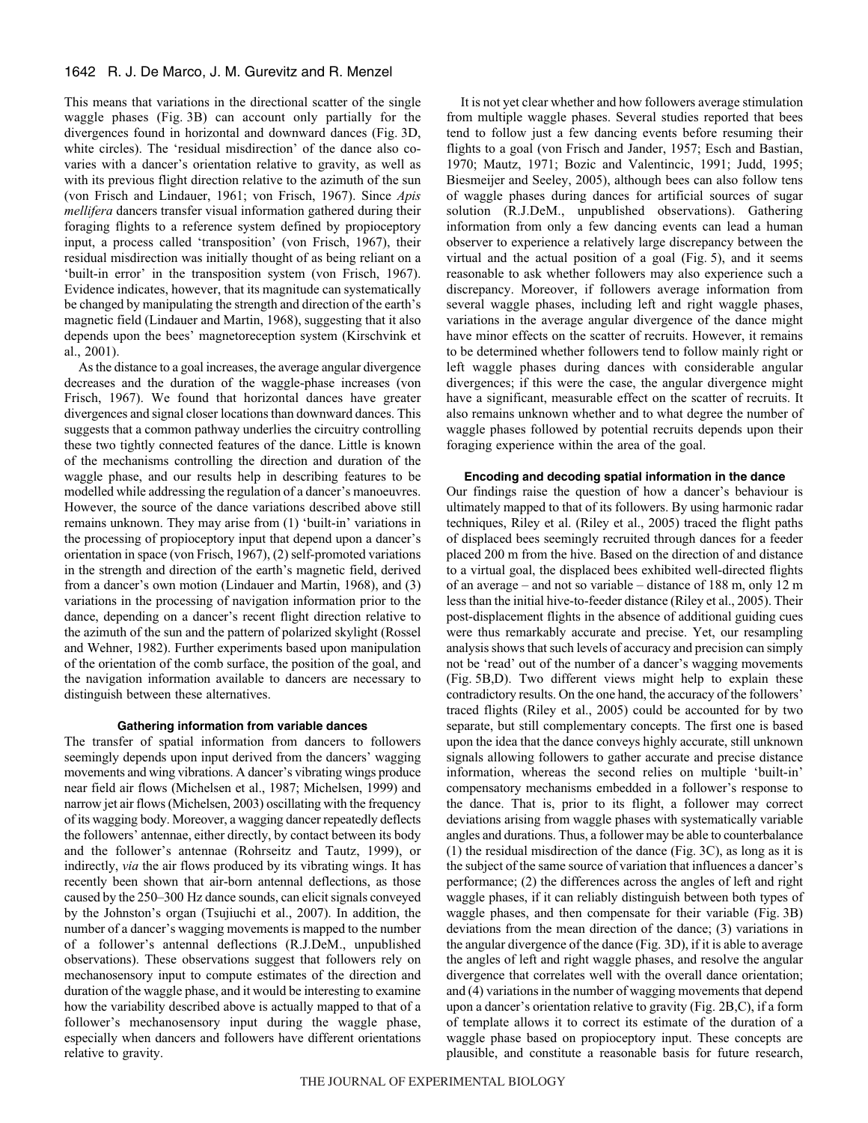This means that variations in the directional scatter of the single waggle phases (Fig. 3B) can account only partially for the divergences found in horizontal and downward dances (Fig. 3D, white circles). The 'residual misdirection' of the dance also covaries with a dancer's orientation relative to gravity, as well as with its previous flight direction relative to the azimuth of the sun (von Frisch and Lindauer, 1961; von Frisch, 1967). Since *Apis mellifera* dancers transfer visual information gathered during their foraging flights to a reference system defined by propioceptory input, a process called 'transposition' (von Frisch, 1967), their residual misdirection was initially thought of as being reliant on a 'built-in error' in the transposition system (von Frisch, 1967). Evidence indicates, however, that its magnitude can systematically be changed by manipulating the strength and direction of the earth's magnetic field (Lindauer and Martin, 1968), suggesting that it also depends upon the bees' magnetoreception system (Kirschvink et al., 2001).

As the distance to a goal increases, the average angular divergence decreases and the duration of the waggle-phase increases (von Frisch, 1967). We found that horizontal dances have greater divergences and signal closer locations than downward dances. This suggests that a common pathway underlies the circuitry controlling these two tightly connected features of the dance. Little is known of the mechanisms controlling the direction and duration of the waggle phase, and our results help in describing features to be modelled while addressing the regulation of a dancer's manoeuvres. However, the source of the dance variations described above still remains unknown. They may arise from (1) 'built-in' variations in the processing of propioceptory input that depend upon a dancer's orientation in space (von Frisch, 1967), (2) self-promoted variations in the strength and direction of the earth's magnetic field, derived from a dancer's own motion (Lindauer and Martin, 1968), and (3) variations in the processing of navigation information prior to the dance, depending on a dancer's recent flight direction relative to the azimuth of the sun and the pattern of polarized skylight (Rossel and Wehner, 1982). Further experiments based upon manipulation of the orientation of the comb surface, the position of the goal, and the navigation information available to dancers are necessary to distinguish between these alternatives.

# **Gathering information from variable dances**

The transfer of spatial information from dancers to followers seemingly depends upon input derived from the dancers' wagging movements and wing vibrations. A dancer's vibrating wings produce near field air flows (Michelsen et al., 1987; Michelsen, 1999) and narrow jet air flows (Michelsen, 2003) oscillating with the frequency of its wagging body. Moreover, a wagging dancer repeatedly deflects the followers' antennae, either directly, by contact between its body and the follower's antennae (Rohrseitz and Tautz, 1999), or indirectly, *via* the air flows produced by its vibrating wings. It has recently been shown that air-born antennal deflections, as those caused by the 250–300 Hz dance sounds, can elicit signals conveyed by the Johnston's organ (Tsujiuchi et al., 2007). In addition, the number of a dancer's wagging movements is mapped to the number of a follower's antennal deflections (R.J.DeM., unpublished observations). These observations suggest that followers rely on mechanosensory input to compute estimates of the direction and duration of the waggle phase, and it would be interesting to examine how the variability described above is actually mapped to that of a follower's mechanosensory input during the waggle phase, especially when dancers and followers have different orientations relative to gravity.

It is not yet clear whether and how followers average stimulation from multiple waggle phases. Several studies reported that bees tend to follow just a few dancing events before resuming their flights to a goal (von Frisch and Jander, 1957; Esch and Bastian, 1970; Mautz, 1971; Bozic and Valentincic, 1991; Judd, 1995; Biesmeijer and Seeley, 2005), although bees can also follow tens of waggle phases during dances for artificial sources of sugar solution (R.J.DeM., unpublished observations). Gathering information from only a few dancing events can lead a human observer to experience a relatively large discrepancy between the virtual and the actual position of a goal (Fig.  $5$ ), and it seems reasonable to ask whether followers may also experience such a discrepancy. Moreover, if followers average information from several waggle phases, including left and right waggle phases, variations in the average angular divergence of the dance might have minor effects on the scatter of recruits. However, it remains to be determined whether followers tend to follow mainly right or left waggle phases during dances with considerable angular divergences; if this were the case, the angular divergence might have a significant, measurable effect on the scatter of recruits. It also remains unknown whether and to what degree the number of waggle phases followed by potential recruits depends upon their foraging experience within the area of the goal.

# **Encoding and decoding spatial information in the dance**

Our findings raise the question of how a dancer's behaviour is ultimately mapped to that of its followers. By using harmonic radar techniques, Riley et al. (Riley et al., 2005) traced the flight paths of displaced bees seemingly recruited through dances for a feeder placed 200 m from the hive. Based on the direction of and distance to a virtual goal, the displaced bees exhibited well-directed flights of an average – and not so variable – distance of 188 m, only 12 m less than the initial hive-to-feeder distance (Riley et al., 2005). Their post-displacement flights in the absence of additional guiding cues were thus remarkably accurate and precise. Yet, our resampling analysis shows that such levels of accuracy and precision can simply not be 'read' out of the number of a dancer's wagging movements (Fig. 5B,D). Two different views might help to explain these contradictory results. On the one hand, the accuracy of the followers' traced flights (Riley et al., 2005) could be accounted for by two separate, but still complementary concepts. The first one is based upon the idea that the dance conveys highly accurate, still unknown signals allowing followers to gather accurate and precise distance information, whereas the second relies on multiple 'built-in' compensatory mechanisms embedded in a follower's response to the dance. That is, prior to its flight, a follower may correct deviations arising from waggle phases with systematically variable angles and durations. Thus, a follower may be able to counterbalance (1) the residual misdirection of the dance (Fig.  $3C$ ), as long as it is the subject of the same source of variation that influences a dancer's performance; (2) the differences across the angles of left and right waggle phases, if it can reliably distinguish between both types of waggle phases, and then compensate for their variable (Fig. 3B) deviations from the mean direction of the dance; (3) variations in the angular divergence of the dance (Fig. 3D), if it is able to average the angles of left and right waggle phases, and resolve the angular divergence that correlates well with the overall dance orientation; and (4) variations in the number of wagging movements that depend upon a dancer's orientation relative to gravity (Fig.  $2B,C$ ), if a form of template allows it to correct its estimate of the duration of a waggle phase based on propioceptory input. These concepts are plausible, and constitute a reasonable basis for future research,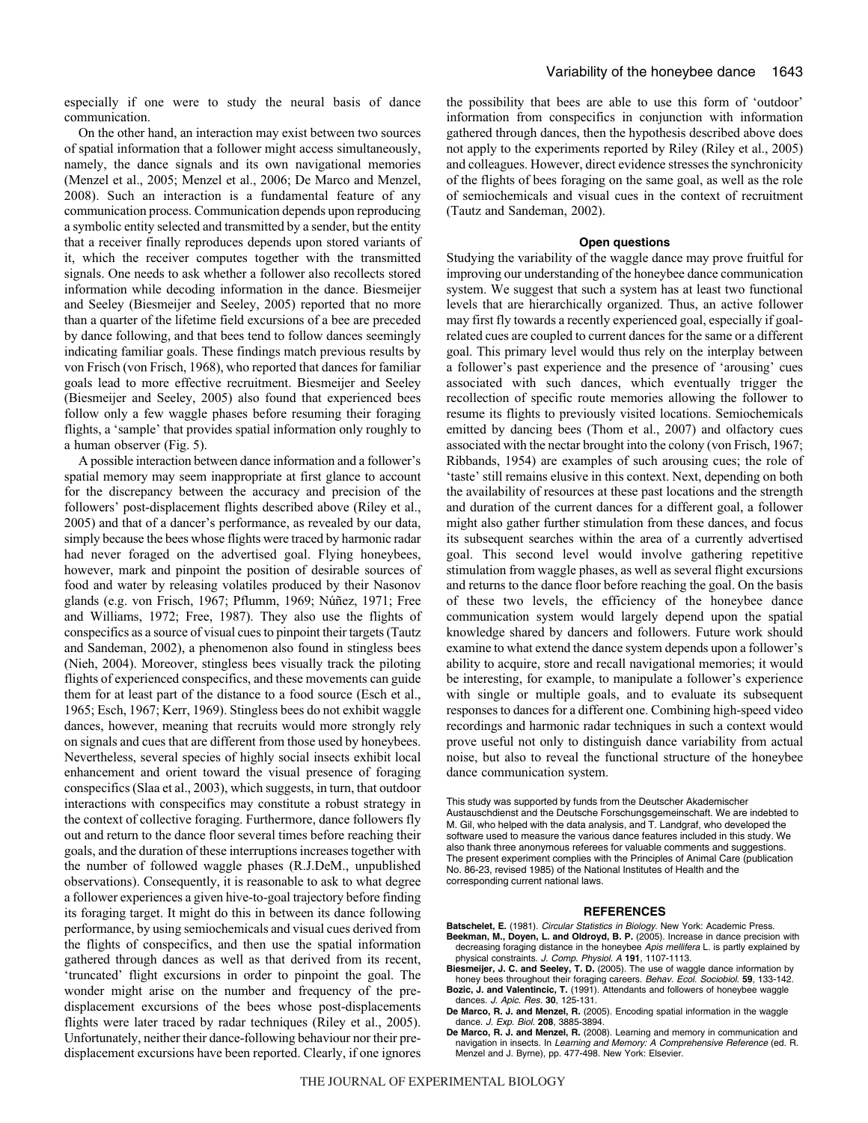especially if one were to study the neural basis of dance communication.

On the other hand, an interaction may exist between two sources of spatial information that a follower might access simultaneously, namely, the dance signals and its own navigational memories (Menzel et al., 2005; Menzel et al., 2006; De Marco and Menzel, 2008). Such an interaction is a fundamental feature of any communication process. Communication depends upon reproducing a symbolic entity selected and transmitted by a sender, but the entity that a receiver finally reproduces depends upon stored variants of it, which the receiver computes together with the transmitted signals. One needs to ask whether a follower also recollects stored information while decoding information in the dance. Biesmeijer and Seeley (Biesmeijer and Seeley, 2005) reported that no more than a quarter of the lifetime field excursions of a bee are preceded by dance following, and that bees tend to follow dances seemingly indicating familiar goals. These findings match previous results by von Frisch (von Frisch, 1968), who reported that dances for familiar goals lead to more effective recruitment. Biesmeijer and Seeley (Biesmeijer and Seeley, 2005) also found that experienced bees follow only a few waggle phases before resuming their foraging flights, a 'sample' that provides spatial information only roughly to a human observer (Fig. 5).

A possible interaction between dance information and a follower's spatial memory may seem inappropriate at first glance to account for the discrepancy between the accuracy and precision of the followers' post-displacement flights described above (Riley et al., 2005) and that of a dancer's performance, as revealed by our data, simply because the bees whose flights were traced by harmonic radar had never foraged on the advertised goal. Flying honeybees, however, mark and pinpoint the position of desirable sources of food and water by releasing volatiles produced by their Nasonov glands (e.g. von Frisch, 1967; Pflumm, 1969; Núñez, 1971; Free and Williams, 1972; Free, 1987). They also use the flights of conspecifics as a source of visual cues to pinpoint their targets (Tautz and Sandeman, 2002), a phenomenon also found in stingless bees (Nieh, 2004). Moreover, stingless bees visually track the piloting flights of experienced conspecifics, and these movements can guide them for at least part of the distance to a food source (Esch et al., 1965; Esch, 1967; Kerr, 1969). Stingless bees do not exhibit waggle dances, however, meaning that recruits would more strongly rely on signals and cues that are different from those used by honeybees. Nevertheless, several species of highly social insects exhibit local enhancement and orient toward the visual presence of foraging conspecifics (Slaa et al., 2003), which suggests, in turn, that outdoor interactions with conspecifics may constitute a robust strategy in the context of collective foraging. Furthermore, dance followers fly out and return to the dance floor several times before reaching their goals, and the duration of these interruptions increases together with the number of followed waggle phases (R.J.DeM., unpublished observations). Consequently, it is reasonable to ask to what degree a follower experiences a given hive-to-goal trajectory before finding its foraging target. It might do this in between its dance following performance, by using semiochemicals and visual cues derived from the flights of conspecifics, and then use the spatial information gathered through dances as well as that derived from its recent, 'truncated' flight excursions in order to pinpoint the goal. The wonder might arise on the number and frequency of the predisplacement excursions of the bees whose post-displacements flights were later traced by radar techniques (Riley et al., 2005). Unfortunately, neither their dance-following behaviour nor their predisplacement excursions have been reported. Clearly, if one ignores the possibility that bees are able to use this form of 'outdoor' information from conspecifics in conjunction with information gathered through dances, then the hypothesis described above does not apply to the experiments reported by Riley (Riley et al., 2005) and colleagues. However, direct evidence stresses the synchronicity of the flights of bees foraging on the same goal, as well as the role of semiochemicals and visual cues in the context of recruitment (Tautz and Sandeman, 2002).

#### **Open questions**

Studying the variability of the waggle dance may prove fruitful for improving our understanding of the honeybee dance communication system. We suggest that such a system has at least two functional levels that are hierarchically organized. Thus, an active follower may first fly towards a recently experienced goal, especially if goalrelated cues are coupled to current dances for the same or a different goal. This primary level would thus rely on the interplay between a follower's past experience and the presence of 'arousing' cues associated with such dances, which eventually trigger the recollection of specific route memories allowing the follower to resume its flights to previously visited locations. Semiochemicals emitted by dancing bees (Thom et al., 2007) and olfactory cues associated with the nectar brought into the colony (von Frisch, 1967; Ribbands, 1954) are examples of such arousing cues; the role of 'taste' still remains elusive in this context. Next, depending on both the availability of resources at these past locations and the strength and duration of the current dances for a different goal, a follower might also gather further stimulation from these dances, and focus its subsequent searches within the area of a currently advertised goal. This second level would involve gathering repetitive stimulation from waggle phases, as well as several flight excursions and returns to the dance floor before reaching the goal. On the basis of these two levels, the efficiency of the honeybee dance communication system would largely depend upon the spatial knowledge shared by dancers and followers. Future work should examine to what extend the dance system depends upon a follower's ability to acquire, store and recall navigational memories; it would be interesting, for example, to manipulate a follower's experience with single or multiple goals, and to evaluate its subsequent responses to dances for a different one. Combining high-speed video recordings and harmonic radar techniques in such a context would prove useful not only to distinguish dance variability from actual noise, but also to reveal the functional structure of the honeybee dance communication system.

This study was supported by funds from the Deutscher Akademischer Austauschdienst and the Deutsche Forschungsgemeinschaft. We are indebted to M. Gil, who helped with the data analysis, and T. Landgraf, who developed the software used to measure the various dance features included in this study. We also thank three anonymous referees for valuable comments and suggestions. The present experiment complies with the Principles of Animal Care (publication No. 86-23, revised 1985) of the National Institutes of Health and the corresponding current national laws.

#### **REFERENCES**

**Batschelet, E.** (1981). Circular Statistics in Biology. New York: Academic Press. **Beekman, M., Doyen, L. and Oldroyd, B. P.** (2005). Increase in dance precision with

- decreasing foraging distance in the honeybee Apis mellifera L. is partly explained by physical constraints. J. Comp. Physiol. A **191**, 1107-1113.
- **Biesmeijer, J. C. and Seeley, T. D.** (2005). The use of waggle dance information by honey bees throughout their foraging careers. Behav. Ecol. Sociobiol. **59**, 133-142. **Bozic, J. and Valentincic, T.** (1991). Attendants and followers of honeybee waggle
- dances. J. Apic. Res. **30**, 125-131. **De Marco, R. J. and Menzel, R.** (2005). Encoding spatial information in the waggle
- dance. J. Exp. Biol. **208**, 3885-3894.
- **De Marco, R. J. and Menzel, R.** (2008). Learning and memory in communication and navigation in insects. In Learning and Memory: A Comprehensive Reference (ed. R. Menzel and J. Byrne), pp. 477-498. New York: Elsevier.